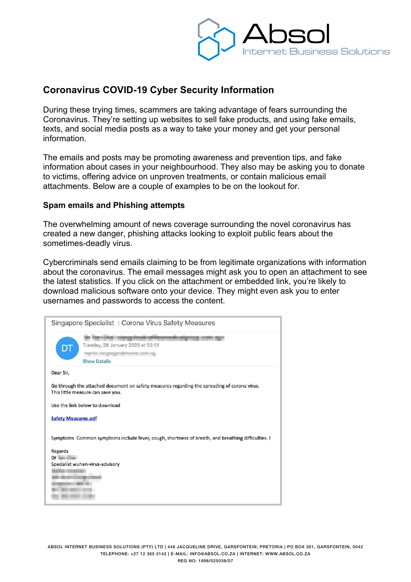

# **Coronavirus COVID-19 Cyber Security Information**

During these trying times, scammers are taking advantage of fears surrounding the Coronavirus. They're setting up websites to sell fake products, and using fake emails, texts, and social media posts as a way to take your money and get your personal information.

The emails and posts may be promoting awareness and prevention tips, and fake information about cases in your neighbourhood. They also may be asking you to donate to victims, offering advice on unproven treatments, or contain malicious email attachments. Below are a couple of examples to be on the lookout for.

### **Spam emails and Phishing attempts**

The overwhelming amount of news coverage surrounding the novel coronavirus has created a new danger, phishing attacks looking to exploit public fears about the sometimes-deadly virus.

Cybercriminals send emails claiming to be from legitimate organizations with information about the coronavirus. The email messages might ask you to open an attachment to see the latest statistics. If you click on the attachment or embedded link, you're likely to download malicious software onto your device. They might even ask you to enter usernames and passwords to access the content.

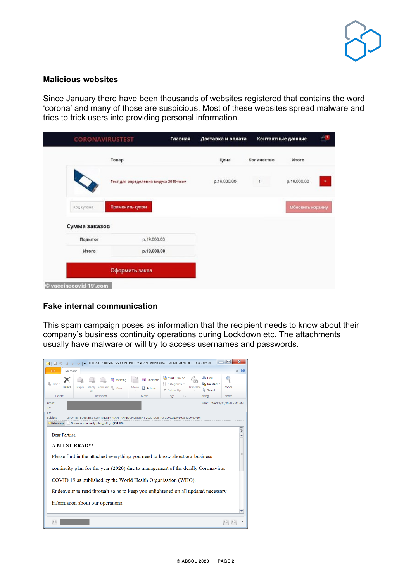

#### **Malicious websites**

Since January there have been thousands of websites registered that contains the word 'corona' and many of those are suspicious. Most of these websites spread malware and tries to trick users into providing personal information.

|                        | <b>CORONAVIRUSTEST</b>                |             | Доставка и оплата | Контактные данные |                  | $A^{\mathbf{u}}$ |
|------------------------|---------------------------------------|-------------|-------------------|-------------------|------------------|------------------|
|                        | Товар                                 |             | Цена              | Количество        | Итого            |                  |
|                        | Тест для определения вируса 2019-псоv |             | p.19,000.00       |                   | p.19,000.00      | ×                |
| Код купона:            | Применить купон                       |             |                   |                   | Обновить корзину |                  |
| Сумма заказов          |                                       |             |                   |                   |                  |                  |
| Подытог                |                                       | p.19,000.00 |                   |                   |                  |                  |
| Итого                  |                                       | p.19,000.00 |                   |                   |                  |                  |
|                        | Оформить заказ                        |             |                   |                   |                  |                  |
| © vaccinecovid-19∖.com |                                       |             |                   |                   |                  |                  |

## **Fake internal communication**

This spam campaign poses as information that the recipient needs to know about their company's business continuity operations during Lockdown etc. The attachments usually have malware or will try to access usernames and passwords.

|                                                                                  | UPDATE: BUSINESS CONTINUITY PLAN ANNOUNCEMENT 2020 DUE TO CORON                                                                     |                                |                                            |                                                     | E    |         |  |  |  |  |  |
|----------------------------------------------------------------------------------|-------------------------------------------------------------------------------------------------------------------------------------|--------------------------------|--------------------------------------------|-----------------------------------------------------|------|---------|--|--|--|--|--|
| Message<br><b>File</b>                                                           |                                                                                                                                     |                                |                                            |                                                     |      | 12<br>۵ |  |  |  |  |  |
| & Junk<br>Delete                                                                 | Meeting<br>Reply<br>Reply<br>Forward 圖 More -<br>$\Delta$                                                                           | N OneNote<br>Move<br>a Actions | Mark Unread<br>Categorize<br>₩ Follow Up * | <b>吊 Find</b><br>Related<br>Translate<br>a Select * | Zoom |         |  |  |  |  |  |
| <b>Delete</b>                                                                    | Respond                                                                                                                             | Move                           | Tags<br>$\overline{\mathbb{R}}$            | Editing                                             | Zoom |         |  |  |  |  |  |
| To:<br>Cc:<br>Subject:<br>Message                                                | Sent: Wed 3/25/2020 8:30 AM<br>From:<br>ANNOUNCEMENT 2020 DUE TO CORONAVIRUS (COVID-19)<br>Business continuity plan pdf.gz (434 KB) |                                |                                            |                                                     |      |         |  |  |  |  |  |
| Dear Partner,<br><b>A MUST READ!!!</b>                                           |                                                                                                                                     |                                |                                            |                                                     |      | C,      |  |  |  |  |  |
| ≡<br>Please find in the attached everything you need to know about our business  |                                                                                                                                     |                                |                                            |                                                     |      |         |  |  |  |  |  |
| continuity plan for the year (2020) due to management of the deadly Coronavirus  |                                                                                                                                     |                                |                                            |                                                     |      |         |  |  |  |  |  |
| COVID 19 as published by the World Health Organisation (WHO).                    |                                                                                                                                     |                                |                                            |                                                     |      |         |  |  |  |  |  |
| Endeavour to read through so as to keep you enlightened on all updated necessary |                                                                                                                                     |                                |                                            |                                                     |      |         |  |  |  |  |  |
| information about our operations.                                                |                                                                                                                                     |                                |                                            |                                                     |      |         |  |  |  |  |  |
|                                                                                  |                                                                                                                                     |                                |                                            |                                                     |      |         |  |  |  |  |  |
|                                                                                  |                                                                                                                                     |                                |                                            |                                                     |      |         |  |  |  |  |  |